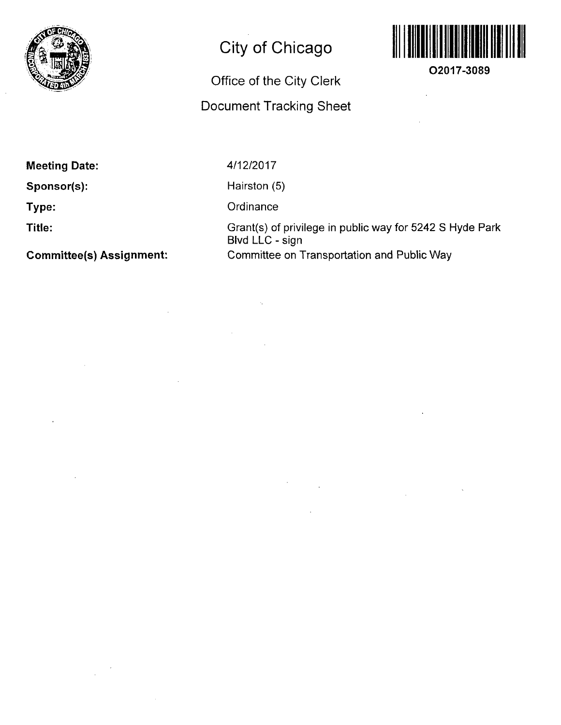

## **City of Chicago**

## **Office of the City Clerk Document Tracking Sheet**



**O2017-3089** 

**Meeting Date:** 

**Sponsor(s):** 

**Type:** 

**Title:** 

**Committee(s) Assignment:** 

4/12/2017

Hairston (5)

**Ordinance** 

Grant(s) of privilege in public way for 5242 S Hyde Park Blvd LLC - sign Committee on Transportation and Public Way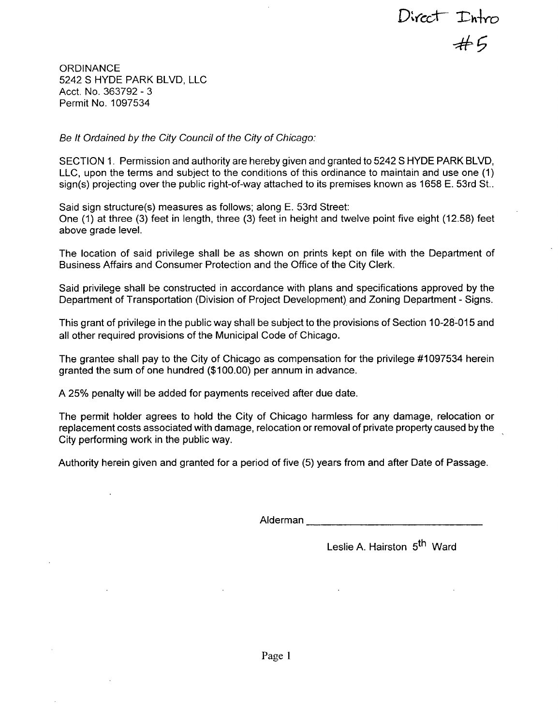Direct Intro<br>#5

**ORDINANCE** 5242 S HYDE PARK BLVD, LLC Acct. No. 363792 - 3 Permit No. 1097534

*Be It Ordained by the City Council of the City of Chicago:* 

SECTION 1. Permission and authority are hereby given and granted to 5242 S HYDE PARK BLVD, LLC, upon the terms and subject to the conditions of this ordinance to maintain and use one (1) sign(s) projecting over the public right-of-way attached to its premises known as 1658 E. 53rd St..

Said sign structure(s) measures as follows; along E. 53rd Street: One (1) at three (3) feet in length, three (3) feet in height and twelve point five eight (12.58) feet above grade level.

The location of said privilege shall be as shown on prints kept on file with the Department of Business Affairs and Consumer Protection and the Office of the City Clerk.

Said privilege shall be constructed in accordance with plans and specifications approved by the Department of Transportation (Division of Project Development) and Zoning Department - Signs.

This grant of privilege in the public way shall be subject to the provisions of Section 10-28-015 and all other required provisions of the Municipal Code of Chicago.

The grantee shall pay to the City of Chicago as compensation for the privilege #1097534 herein granted the sum of one hundred (\$100.00) per annum in advance.

A 25% penalty will be added for payments received after due date.

The permit holder agrees to hold the City of Chicago harmless for any damage, relocation or replacement costs associated with damage, relocation or removal of private property caused by the City performing work in the public way.

Authority herein given and granted for a period offive (5) years from and after Date of Passage.

Alderman

Leslie A. Hairston 5<sup>th</sup> Ward